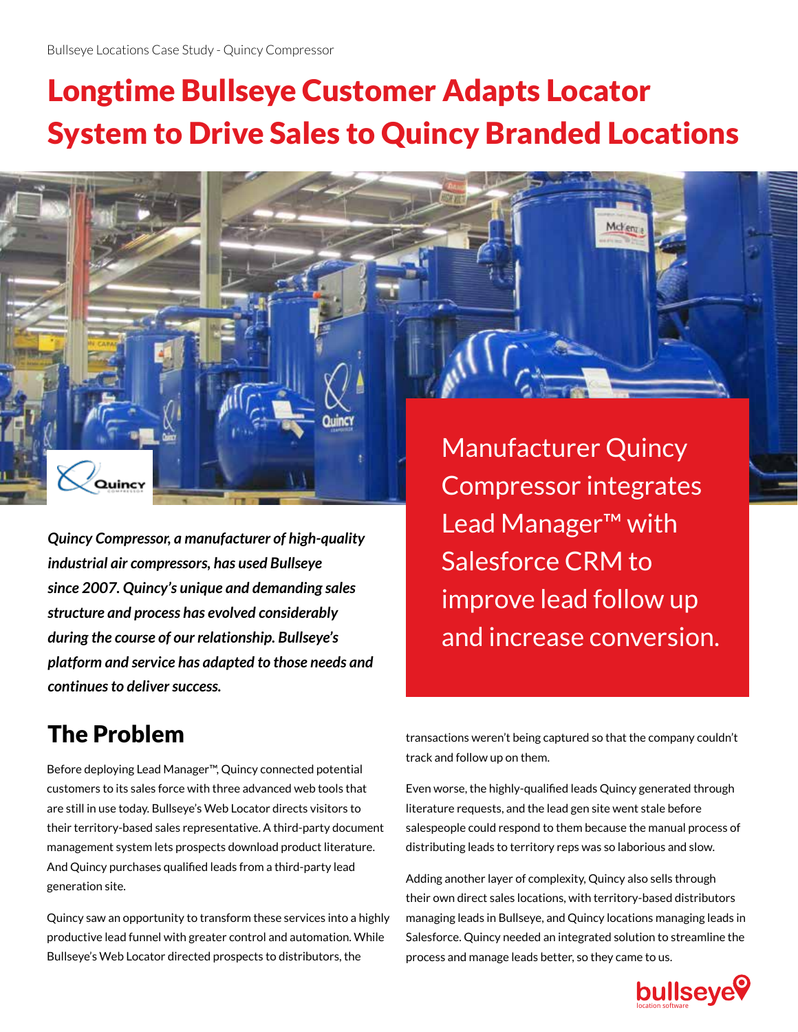# Longtime Bullseye Customer Adapts Locator System to Drive Sales to Quincy Branded Locations

*Quincy Compressor, a manufacturer of high-quality industrial air compressors, has used Bullseye since 2007. Quincy's unique and demanding sales structure and process has evolved considerably during the course of our relationship. Bullseye's platform and service has adapted to those needs and continues to deliver success.* 

Manufacturer Quincy Compressor integrates Lead Manager™ with Salesforce CRM to improve lead follow up and increase conversion.

Mcken

### The Problem

Quincy

Before deploying Lead Manager™, Quincy connected potential customers to its sales force with three advanced web tools that are still in use today. Bullseye's Web Locator directs visitors to their territory-based sales representative. A third-party document management system lets prospects download product literature. And Quincy purchases qualified leads from a third-party lead generation site.

Quincy saw an opportunity to transform these services into a highly productive lead funnel with greater control and automation. While Bullseye's Web Locator directed prospects to distributors, the

transactions weren't being captured so that the company couldn't track and follow up on them.

Even worse, the highly-qualified leads Quincy generated through literature requests, and the lead gen site went stale before salespeople could respond to them because the manual process of distributing leads to territory reps was so laborious and slow.

Adding another layer of complexity, Quincy also sells through their own direct sales locations, with territory-based distributors managing leads in Bullseye, and Quincy locations managing leads in Salesforce. Quincy needed an integrated solution to streamline the process and manage leads better, so they came to us.

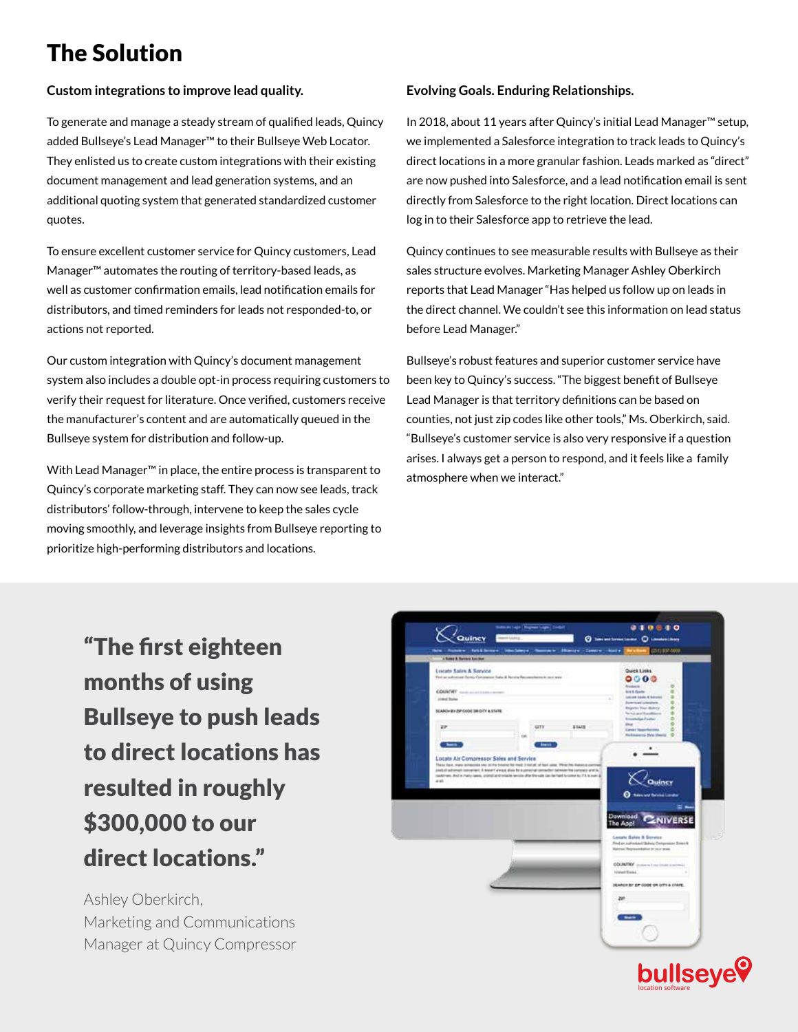### The Solution

#### **Custom integrations to improve lead quality.**

To generate and manage a steady stream of qualified leads, Quincy added Bullseye's Lead Manager™ to their Bullseye Web Locator. They enlisted us to create custom integrations with their existing document management and lead generation systems, and an additional quoting system that generated standardized customer quotes.

To ensure excellent customer service for Quincy customers, Lead Manager™ automates the routing of territory-based leads, as well as customer confirmation emails, lead notification emails for distributors, and timed reminders for leads not responded-to, or actions not reported.

Our custom integration with Quincy's document management system also includes a double opt-in process requiring customers to verify their request for literature. Once verified, customers receive the manufacturer's content and are automatically queued in the Bullseye system for distribution and follow-up.

With Lead Manager™ in place, the entire process is transparent to Quincy's corporate marketing staff. They can now see leads, track distributors' follow-through, intervene to keep the sales cycle moving smoothly, and leverage insights from Bullseye reporting to prioritize high-performing distributors and locations.

#### **Evolving Goals. Enduring Relationships.**

In 2018, about 11 years after Quincy's initial Lead Manager™ setup, we implemented a Salesforce integration to track leads to Quincy's direct locations in a more granular fashion. Leads marked as "direct" are now pushed into Salesforce, and a lead notification email is sent directly from Salesforce to the right location. Direct locations can log in to their Salesforce app to retrieve the lead.

Quincy continues to see measurable results with Bullseye as their sales structure evolves. Marketing Manager Ashley Oberkirch reports that Lead Manager "Has helped us follow up on leads in the direct channel. We couldn't see this information on lead status before Lead Manager."

Bullseye's robust features and superior customer service have been key to Quincy's success. "The biggest benefit of Bullseye Lead Manager is that territory definitions can be based on counties, not just zip codes like other tools," Ms. Oberkirch, said. "Bullseye's customer service is also very responsive if a question arises. I always get a person to respond, and it feels like a family atmosphere when we interact."

"The first eighteen months of using Bullseye to push leads to direct locations has resulted in roughly \$300,000 to our direct locations."

Ashley Oberkirch, Marketing and Communications Manager at Quincy Compressor